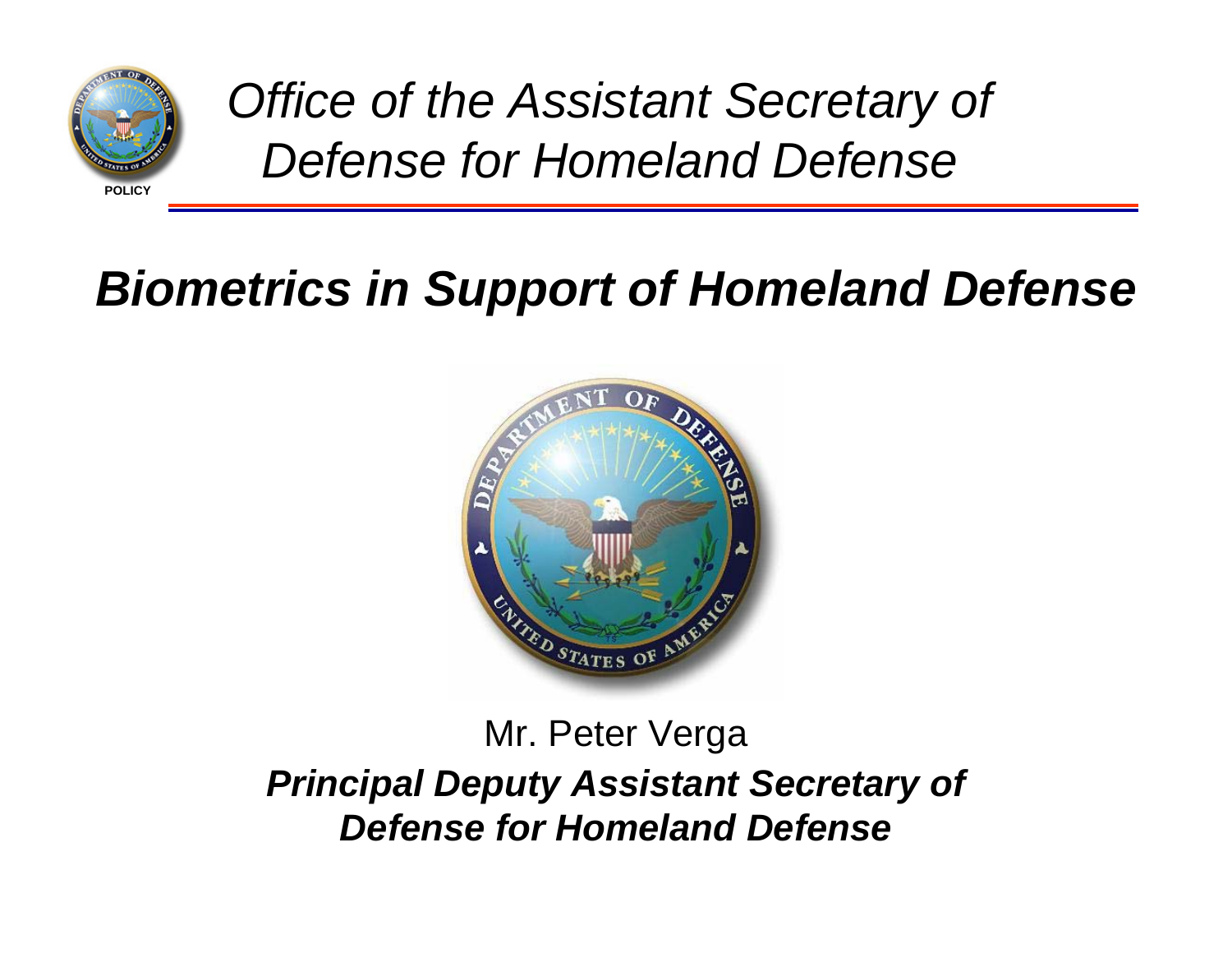

*Office of the Assistant Secretary of Defense for Homeland Defense*

# *Biometrics in Support of Homeland Defense*



## Mr. Peter Verga *Principal Deputy Assistant Secretary of Defense for Homeland Defense*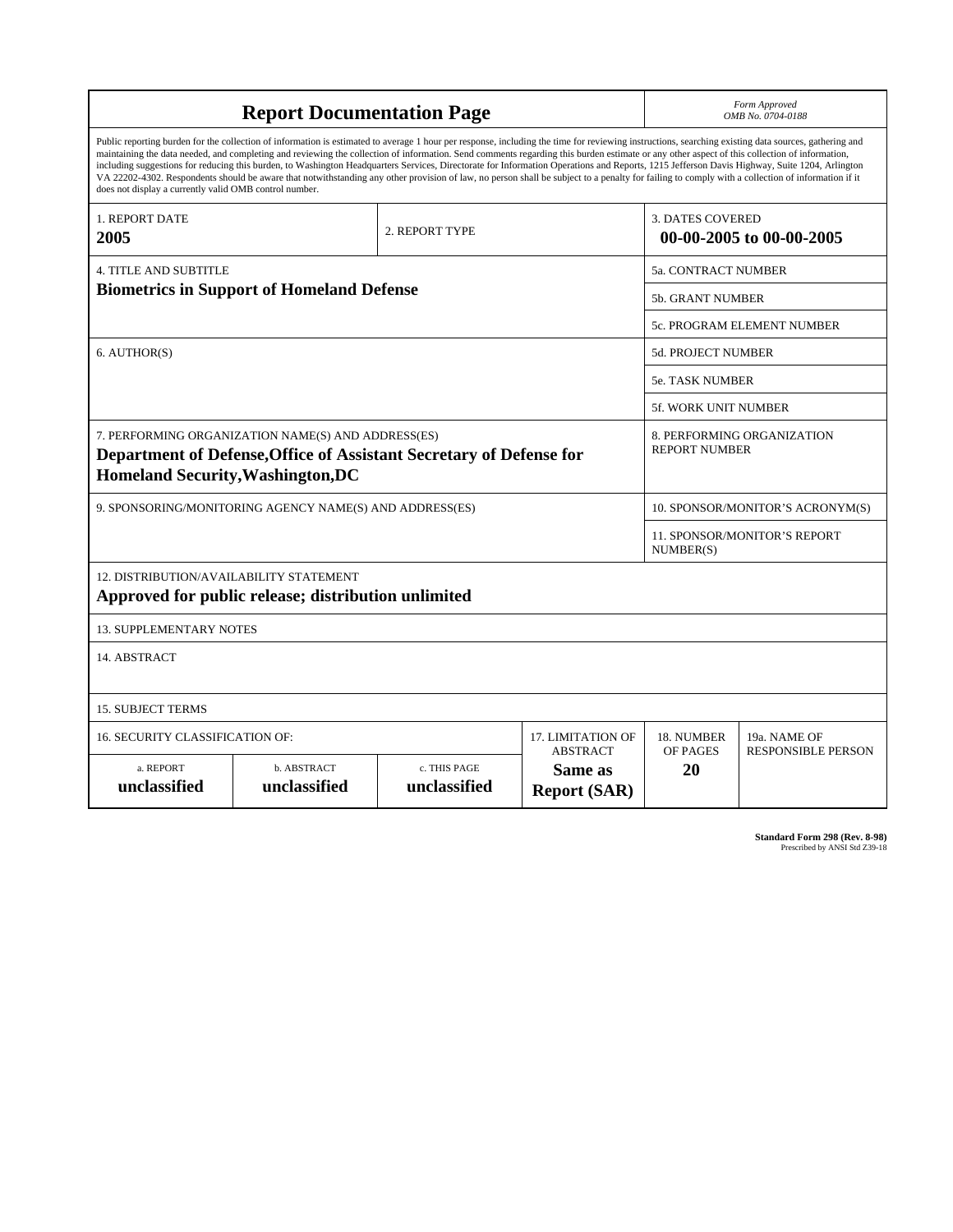| <b>Report Documentation Page</b>                                                                                                                                                                                                                                                                                                                                                                                                                                                                                                                                                                                                                                                                                                                                                                                                                                   |                             |                              |                                                   |                         | Form Approved<br>OMB No. 0704-0188                 |  |  |
|--------------------------------------------------------------------------------------------------------------------------------------------------------------------------------------------------------------------------------------------------------------------------------------------------------------------------------------------------------------------------------------------------------------------------------------------------------------------------------------------------------------------------------------------------------------------------------------------------------------------------------------------------------------------------------------------------------------------------------------------------------------------------------------------------------------------------------------------------------------------|-----------------------------|------------------------------|---------------------------------------------------|-------------------------|----------------------------------------------------|--|--|
| Public reporting burden for the collection of information is estimated to average 1 hour per response, including the time for reviewing instructions, searching existing data sources, gathering and<br>maintaining the data needed, and completing and reviewing the collection of information. Send comments regarding this burden estimate or any other aspect of this collection of information,<br>including suggestions for reducing this burden, to Washington Headquarters Services, Directorate for Information Operations and Reports, 1215 Jefferson Davis Highway, Suite 1204, Arlington<br>VA 22202-4302. Respondents should be aware that notwithstanding any other provision of law, no person shall be subject to a penalty for failing to comply with a collection of information if it<br>does not display a currently valid OMB control number. |                             |                              |                                                   |                         |                                                    |  |  |
| <b>1. REPORT DATE</b><br>2005                                                                                                                                                                                                                                                                                                                                                                                                                                                                                                                                                                                                                                                                                                                                                                                                                                      |                             | 2. REPORT TYPE               |                                                   | <b>3. DATES COVERED</b> | 00-00-2005 to 00-00-2005                           |  |  |
| <b>4. TITLE AND SUBTITLE</b>                                                                                                                                                                                                                                                                                                                                                                                                                                                                                                                                                                                                                                                                                                                                                                                                                                       |                             |                              |                                                   |                         | <b>5a. CONTRACT NUMBER</b>                         |  |  |
| <b>Biometrics in Support of Homeland Defense</b>                                                                                                                                                                                                                                                                                                                                                                                                                                                                                                                                                                                                                                                                                                                                                                                                                   |                             |                              |                                                   |                         | <b>5b. GRANT NUMBER</b>                            |  |  |
|                                                                                                                                                                                                                                                                                                                                                                                                                                                                                                                                                                                                                                                                                                                                                                                                                                                                    |                             |                              |                                                   |                         | 5c. PROGRAM ELEMENT NUMBER                         |  |  |
| 6. AUTHOR(S)                                                                                                                                                                                                                                                                                                                                                                                                                                                                                                                                                                                                                                                                                                                                                                                                                                                       |                             |                              |                                                   |                         | 5d. PROJECT NUMBER                                 |  |  |
|                                                                                                                                                                                                                                                                                                                                                                                                                                                                                                                                                                                                                                                                                                                                                                                                                                                                    |                             |                              |                                                   |                         | 5e. TASK NUMBER                                    |  |  |
|                                                                                                                                                                                                                                                                                                                                                                                                                                                                                                                                                                                                                                                                                                                                                                                                                                                                    |                             |                              |                                                   |                         | <b>5f. WORK UNIT NUMBER</b>                        |  |  |
| 7. PERFORMING ORGANIZATION NAME(S) AND ADDRESS(ES)<br>Department of Defense, Office of Assistant Secretary of Defense for<br><b>Homeland Security, Washington, DC</b>                                                                                                                                                                                                                                                                                                                                                                                                                                                                                                                                                                                                                                                                                              |                             |                              |                                                   |                         | 8. PERFORMING ORGANIZATION<br><b>REPORT NUMBER</b> |  |  |
| 9. SPONSORING/MONITORING AGENCY NAME(S) AND ADDRESS(ES)                                                                                                                                                                                                                                                                                                                                                                                                                                                                                                                                                                                                                                                                                                                                                                                                            |                             |                              |                                                   |                         | 10. SPONSOR/MONITOR'S ACRONYM(S)                   |  |  |
|                                                                                                                                                                                                                                                                                                                                                                                                                                                                                                                                                                                                                                                                                                                                                                                                                                                                    |                             |                              |                                                   |                         | <b>11. SPONSOR/MONITOR'S REPORT</b><br>NUMBER(S)   |  |  |
| 12. DISTRIBUTION/AVAILABILITY STATEMENT<br>Approved for public release; distribution unlimited                                                                                                                                                                                                                                                                                                                                                                                                                                                                                                                                                                                                                                                                                                                                                                     |                             |                              |                                                   |                         |                                                    |  |  |
| <b>13. SUPPLEMENTARY NOTES</b>                                                                                                                                                                                                                                                                                                                                                                                                                                                                                                                                                                                                                                                                                                                                                                                                                                     |                             |                              |                                                   |                         |                                                    |  |  |
| 14. ABSTRACT                                                                                                                                                                                                                                                                                                                                                                                                                                                                                                                                                                                                                                                                                                                                                                                                                                                       |                             |                              |                                                   |                         |                                                    |  |  |
| <b>15. SUBJECT TERMS</b>                                                                                                                                                                                                                                                                                                                                                                                                                                                                                                                                                                                                                                                                                                                                                                                                                                           |                             |                              |                                                   |                         |                                                    |  |  |
| 16. SECURITY CLASSIFICATION OF:                                                                                                                                                                                                                                                                                                                                                                                                                                                                                                                                                                                                                                                                                                                                                                                                                                    |                             | 17. LIMITATION OF            | 18. NUMBER                                        | 19a. NAME OF            |                                                    |  |  |
| a. REPORT<br>unclassified                                                                                                                                                                                                                                                                                                                                                                                                                                                                                                                                                                                                                                                                                                                                                                                                                                          | b. ABSTRACT<br>unclassified | c. THIS PAGE<br>unclassified | <b>ABSTRACT</b><br>Same as<br><b>Report (SAR)</b> | OF PAGES<br>20          | <b>RESPONSIBLE PERSON</b>                          |  |  |

**Standard Form 298 (Rev. 8-98)**<br>Prescribed by ANSI Std Z39-18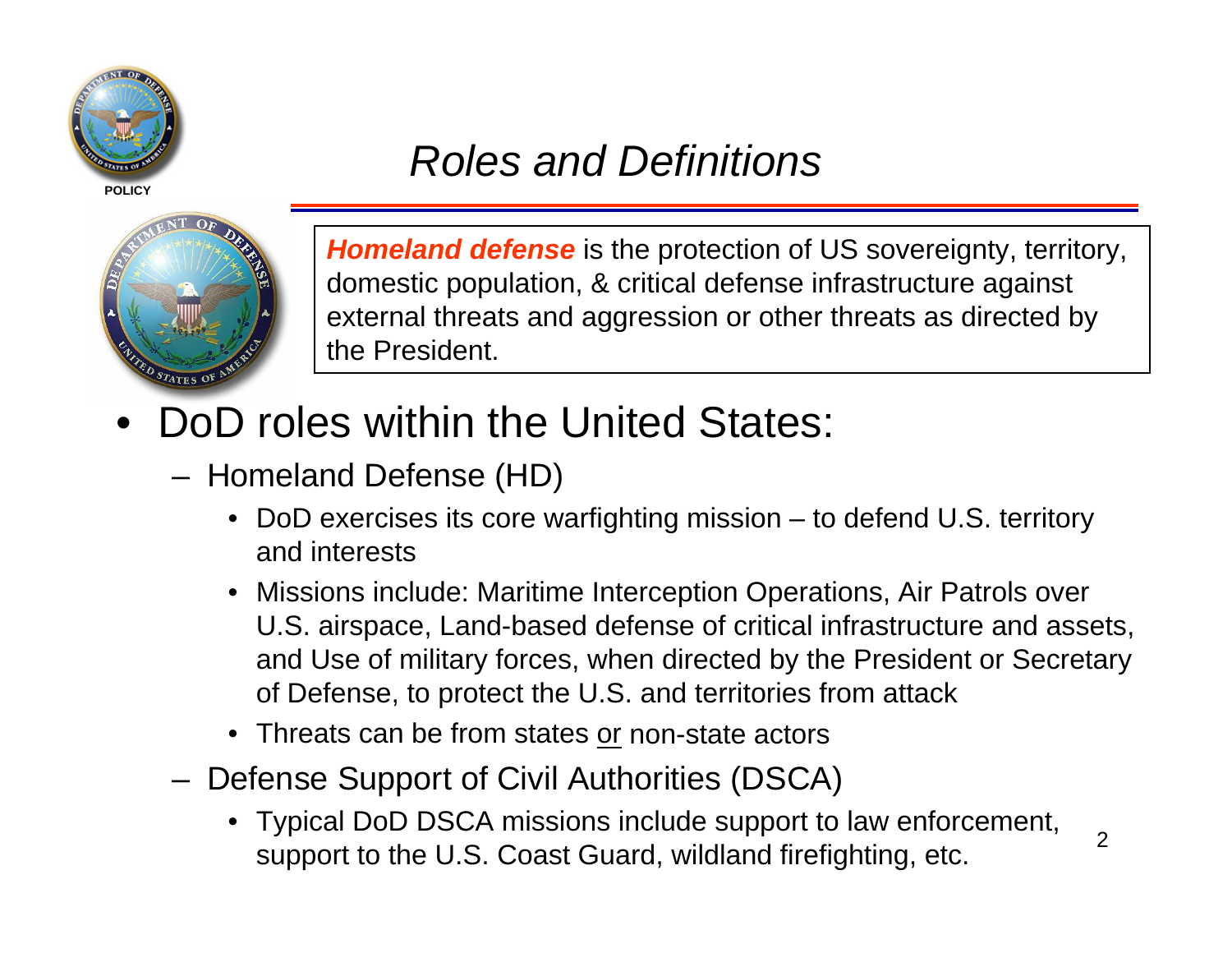

## *Roles and Definitions*



*Homeland defense* is the protection of US sovereignty, territory, domestic population, & critical defense infrastructure against external threats and aggression or other threats as directed by the President.

- •DoD roles within the United States:
	- – Homeland Defense (HD)
		- DoD exercises its core warfighting mission to defend U.S. territory and interests
		- Missions include: Maritime Interception Operations, Air Patrols over U.S. airspace, Land-based defense of critical infrastructure and assets, and Use of military forces, when directed by the President or Secretary of Defense, to protect the U.S. and territories from attack
		- Threats can be from states or non-state actors
	- – Defense Support of Civil Authorities (DSCA)
		- Typical DoD DSCA missions include support to law enforcement, support to the U.S. Coast Guard, wildland firefighting, etc.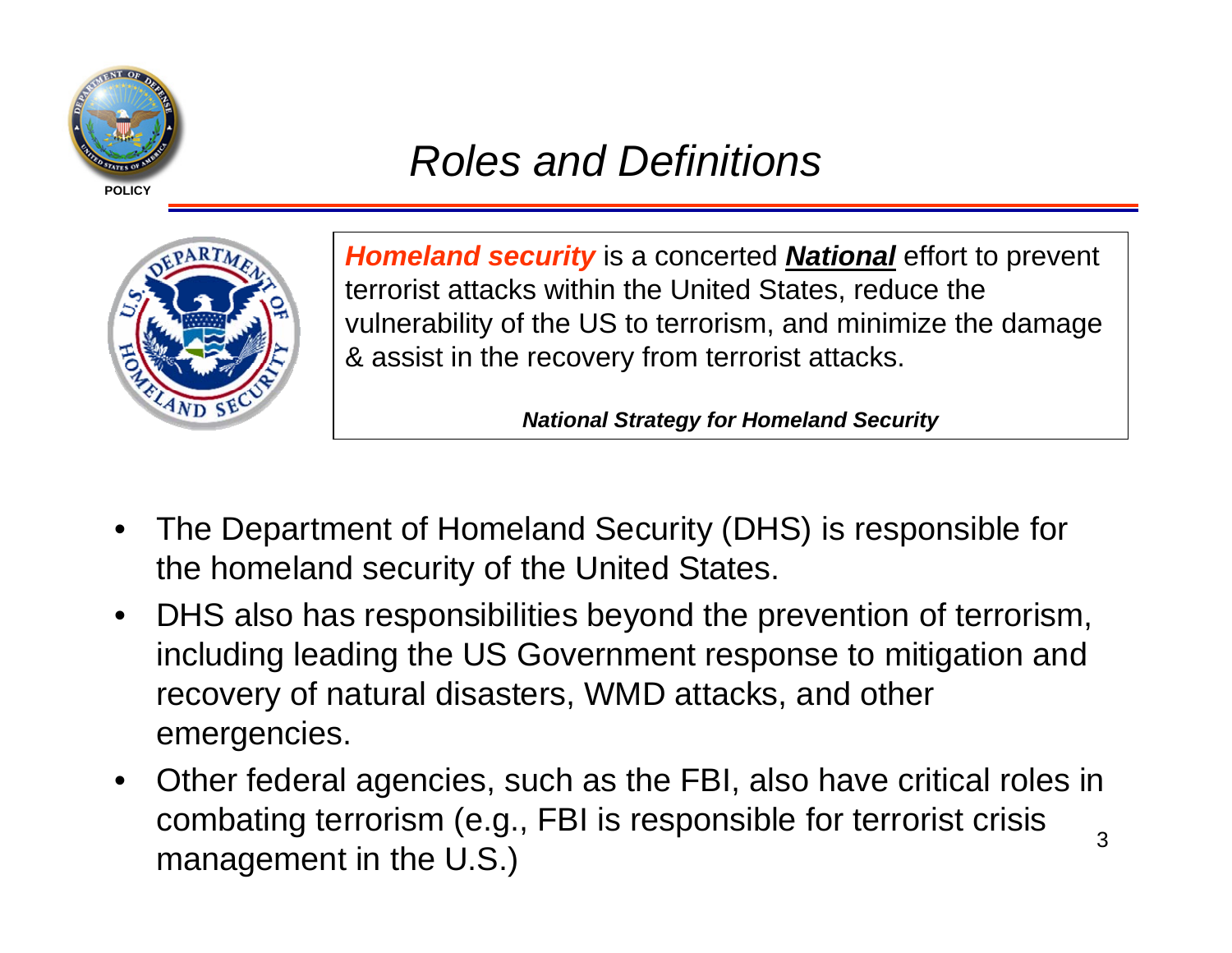

## *Roles and Definitions*



*Homeland security* is a concerted *National* effort to prevent terrorist attacks within the United States, reduce the vulnerability of the US to terrorism, and minimize the damage & assist in the recovery from terrorist attacks.

*National Strategy for Homeland Security*

- • The Department of Homeland Security (DHS) is responsible for the homeland security of the United States.
- • DHS also has responsibilities beyond the prevention of terrorism, including leading the US Government response to mitigation and recovery of natural disasters, WMD attacks, and other emergencies.
- 3 $\bullet$  Other federal agencies, such as the FBI, also have critical roles in combating terrorism (e.g., FBI is responsible for terrorist crisis management in the U.S.)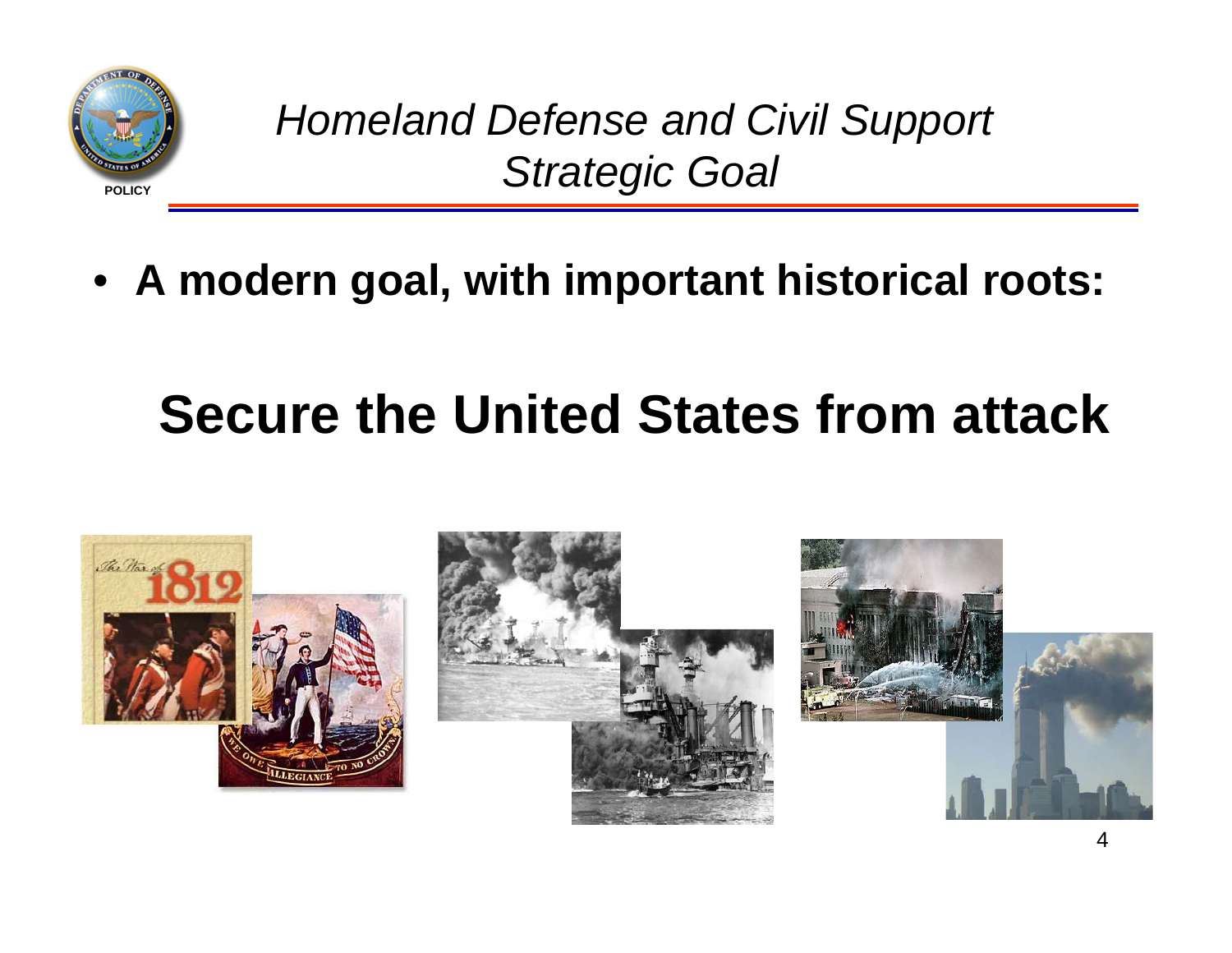

*Homeland Defense and Civil Support Strategic Goal*

• **A modern goal, with important historical roots:** 

# **Secure the United States from attack**

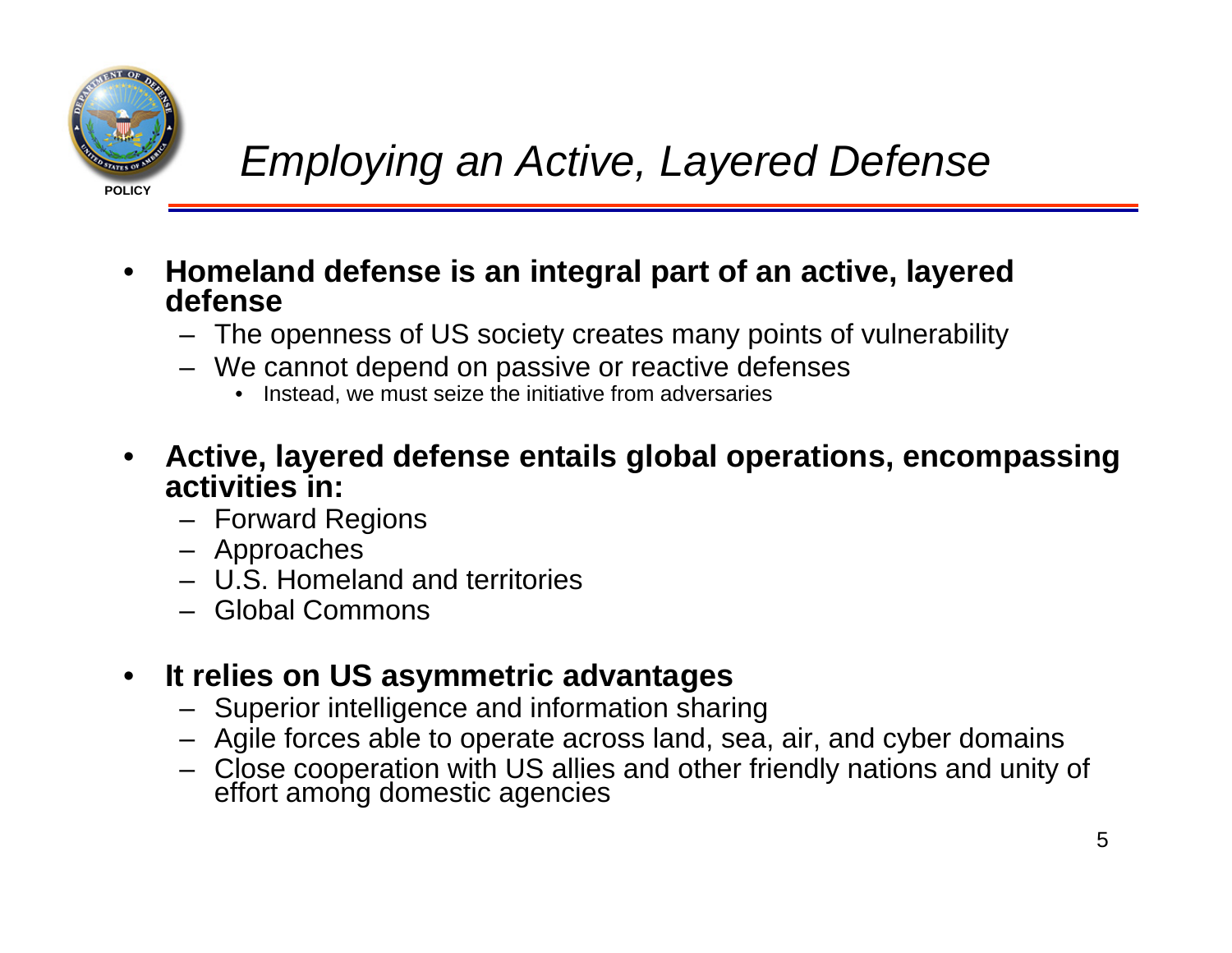

- • **Homeland defense is an integral part of an active, layered defense**
	- The openness of US society creates many points of vulnerability
	- We cannot depend on passive or reactive defenses
		- •Instead, we must seize the initiative from adversaries
- **Active, layered defense entails global operations, encompassing activities in:**
	- Forward Regions
	- Approaches
	- U.S. Homeland and territories
	- Global Commons

#### $\bullet$ **It relies on US asymmetric advantages**

- Superior intelligence and information sharing
- Agile forces able to operate across land, sea, air, and cyber domains
- Close cooperation with US allies and other friendly nations and unity of effort among domestic agencies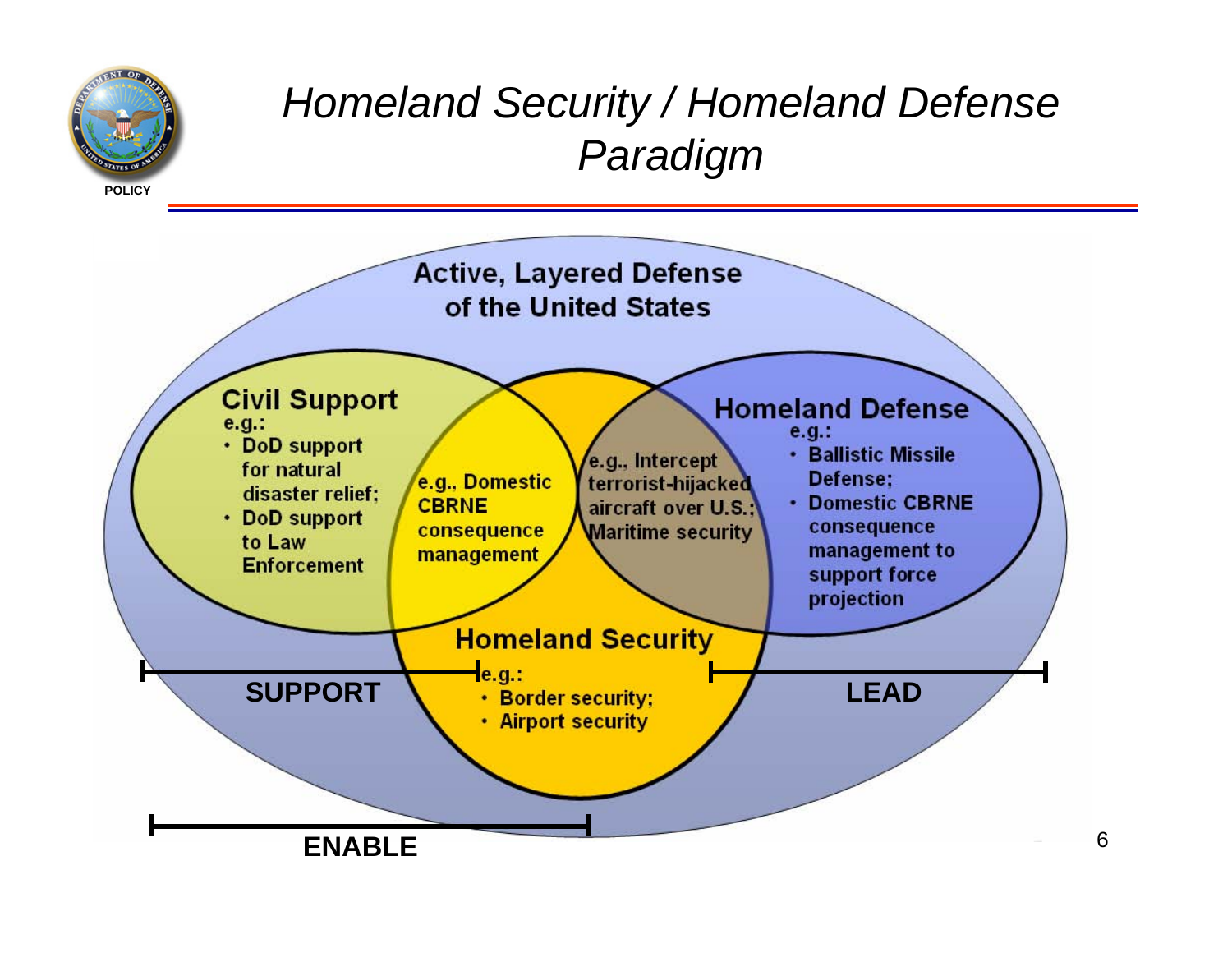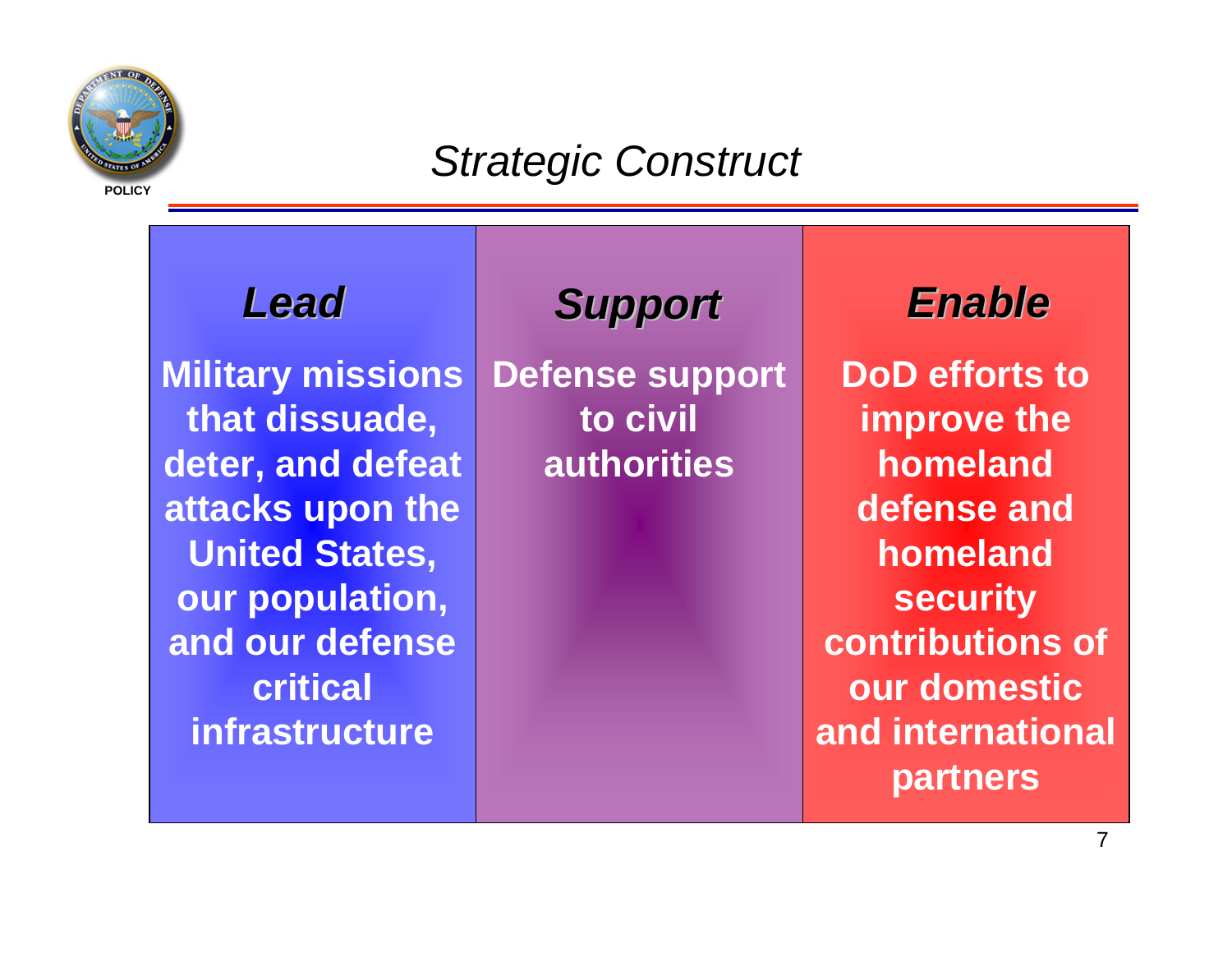

## *Strategic Construct*

## *Lead*

**Military missions that dissuade, deter, and defeat attacks upon the United States, our population, and our defense critical infrastructure**

## *Support Support*

**Defense support to civil authorities**

## *Enable*

**DoD efforts to improve the homeland defense and homeland security contributions of our domestic and international partners**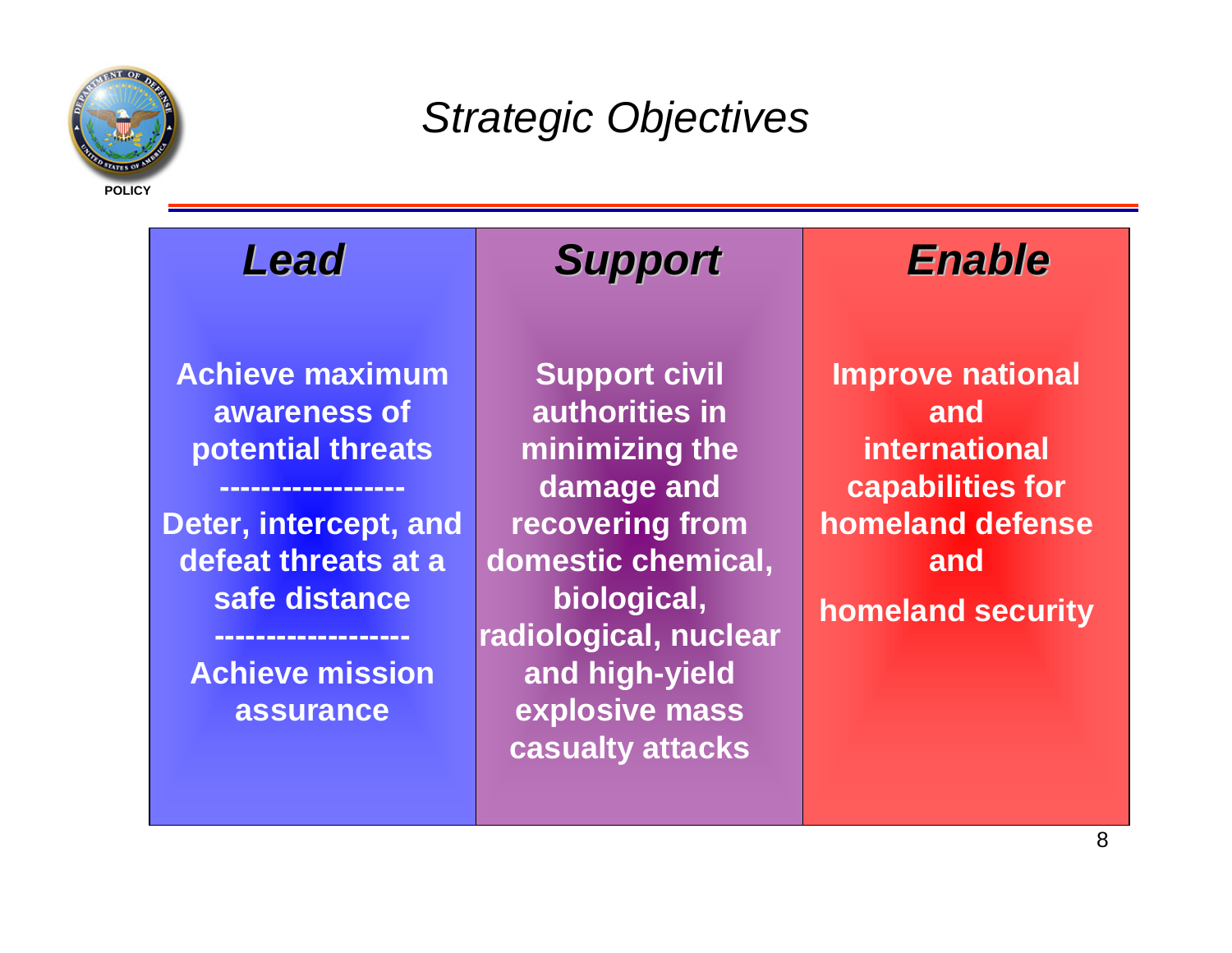

*Strategic Objectives*



**assurance**

**and high-yield explosive mass casualty attacks**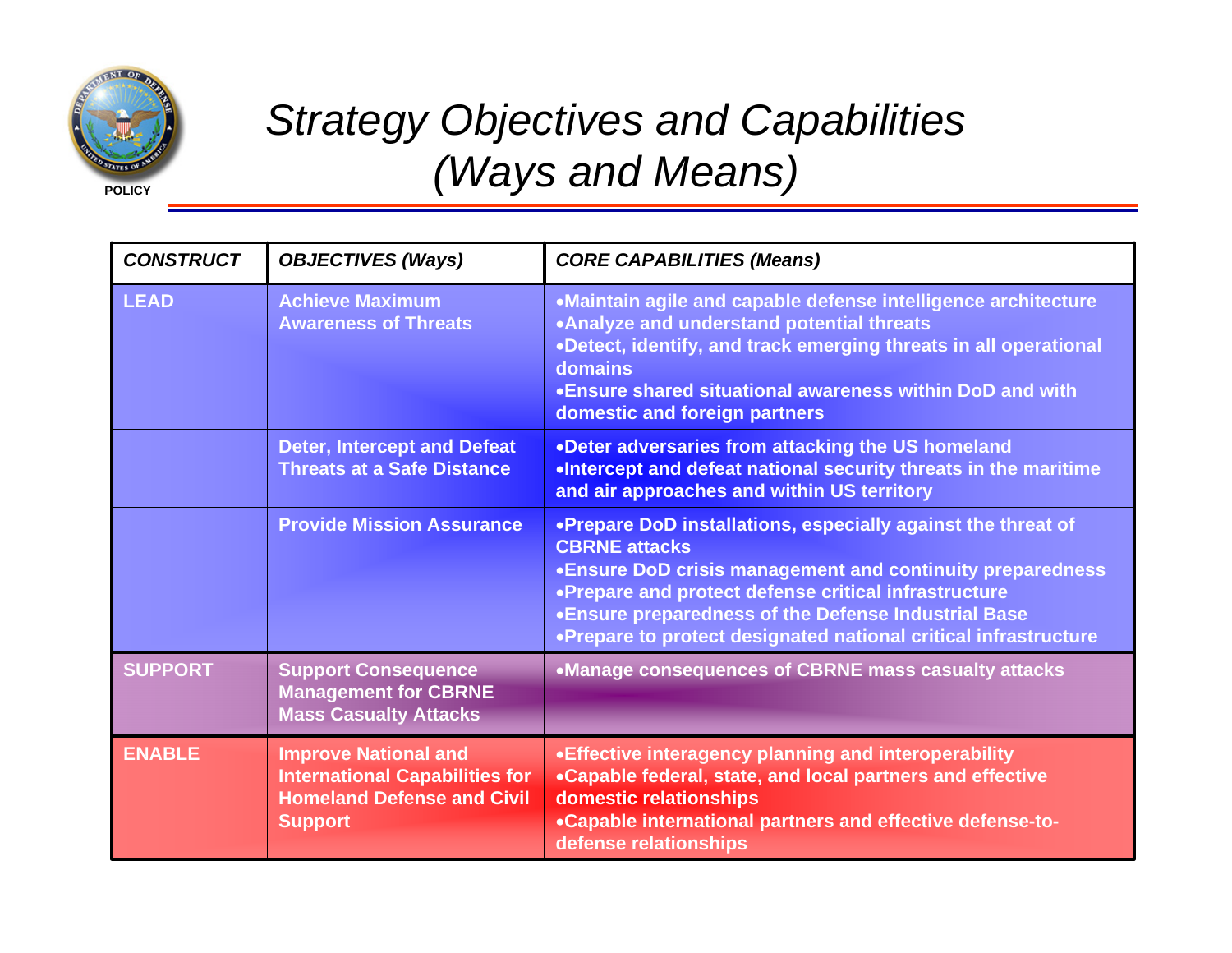

## *Strategy Objectives and Capabilities (Ways and Means)*

| <b>CONSTRUCT</b> | <b>OBJECTIVES (Ways)</b>                                                                                                    | <b>CORE CAPABILITIES (Means)</b>                                                                                                                                                                                                                                                                                                     |
|------------------|-----------------------------------------------------------------------------------------------------------------------------|--------------------------------------------------------------------------------------------------------------------------------------------------------------------------------------------------------------------------------------------------------------------------------------------------------------------------------------|
| <b>LEAD</b>      | <b>Achieve Maximum</b><br><b>Awareness of Threats</b>                                                                       | •Maintain agile and capable defense intelligence architecture<br>.Analyze and understand potential threats<br>.Detect, identify, and track emerging threats in all operational<br>domains<br>• Ensure shared situational awareness within DoD and with<br>domestic and foreign partners                                              |
|                  | <b>Deter, Intercept and Defeat</b><br><b>Threats at a Safe Distance</b>                                                     | .Deter adversaries from attacking the US homeland<br>.Intercept and defeat national security threats in the maritime<br>and air approaches and within US territory                                                                                                                                                                   |
|                  | <b>Provide Mission Assurance</b>                                                                                            | .Prepare DoD installations, especially against the threat of<br><b>CBRNE</b> attacks<br>. Ensure DoD crisis management and continuity preparedness<br>•Prepare and protect defense critical infrastructure<br>•Ensure preparedness of the Defense Industrial Base<br>.Prepare to protect designated national critical infrastructure |
| <b>SUPPORT</b>   | <b>Support Consequence</b><br><b>Management for CBRNE</b><br><b>Mass Casualty Attacks</b>                                   | •Manage consequences of CBRNE mass casualty attacks                                                                                                                                                                                                                                                                                  |
| <b>ENABLE</b>    | <b>Improve National and</b><br><b>International Capabilities for</b><br><b>Homeland Defense and Civil</b><br><b>Support</b> | • Effective interagency planning and interoperability<br>•Capable federal, state, and local partners and effective<br>domestic relationships<br>.Capable international partners and effective defense-to-<br>defense relationships                                                                                                   |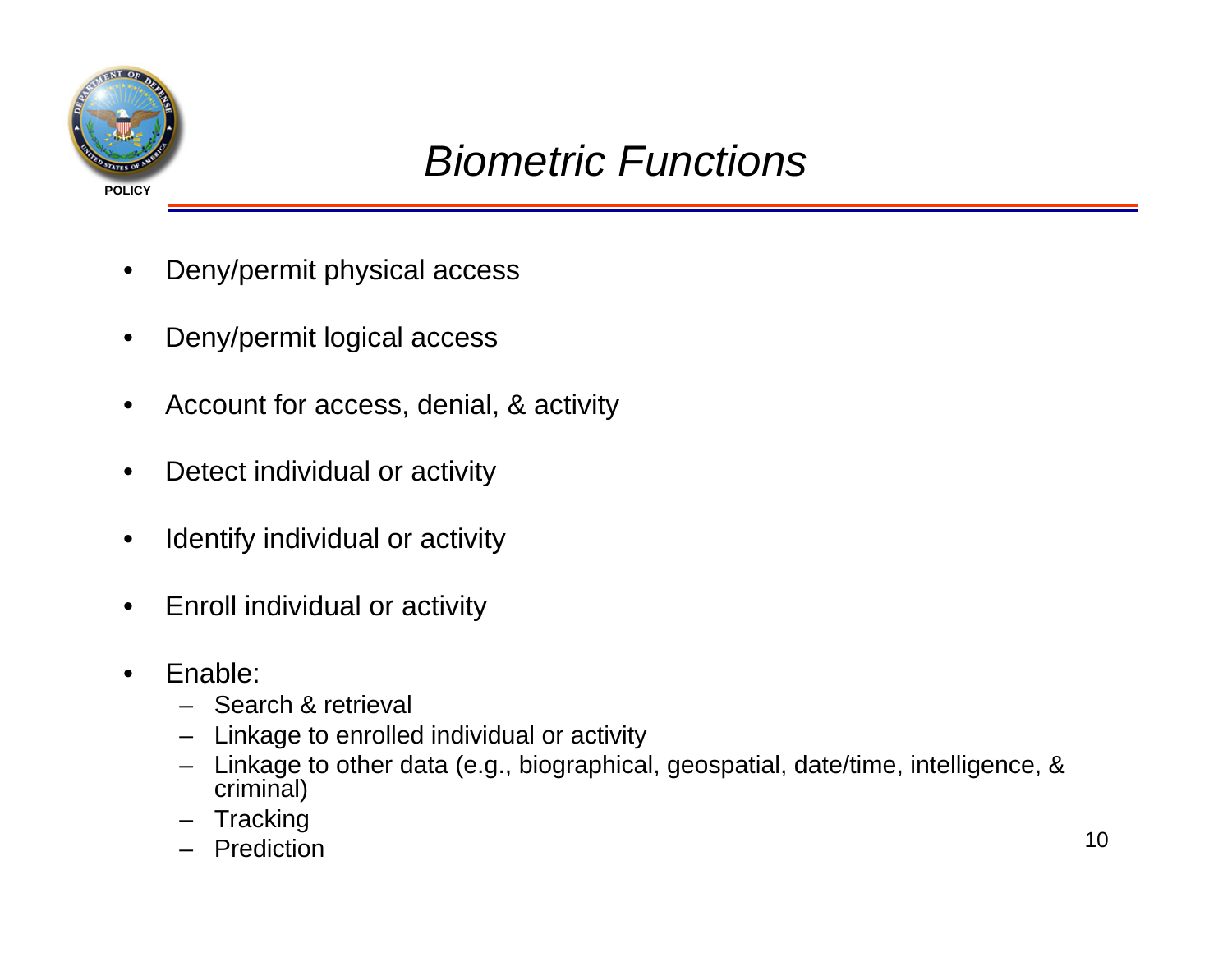

## *Biometric Functions*

- •Deny/permit physical access
- •Deny/permit logical access
- •Account for access, denial, & activity
- •Detect individual or activity
- •Identify individual or activity
- •Enroll individual or activity
- • Enable:
	- Search & retrieval
	- –Linkage to enrolled individual or activity
	- – Linkage to other data (e.g., biographical, geospatial, date/time, intelligence, & criminal)
	- –**Tracking**
	- Prediction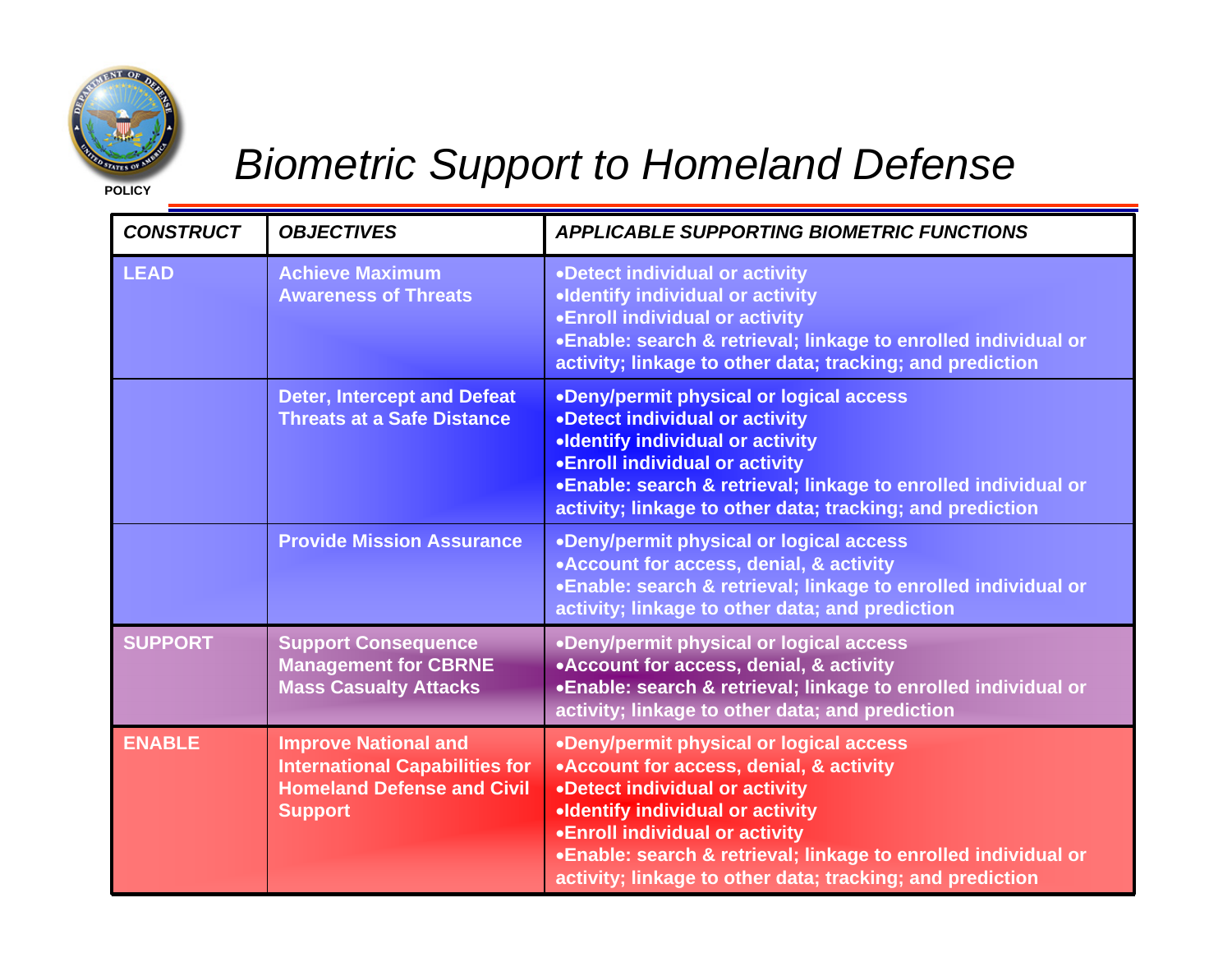

## *Biometric Support to Homeland Defense*

| <b>CONSTRUCT</b> | <b>OBJECTIVES</b>                                                                                                           | <b>APPLICABLE SUPPORTING BIOMETRIC FUNCTIONS</b>                                                                                                                                                                                                                                                                                  |
|------------------|-----------------------------------------------------------------------------------------------------------------------------|-----------------------------------------------------------------------------------------------------------------------------------------------------------------------------------------------------------------------------------------------------------------------------------------------------------------------------------|
| <b>LEAD</b>      | <b>Achieve Maximum</b><br><b>Awareness of Threats</b>                                                                       | •Detect individual or activity<br>.Identify individual or activity<br>.Enroll individual or activity<br>•Enable: search & retrieval; linkage to enrolled individual or<br>activity; linkage to other data; tracking; and prediction                                                                                               |
|                  | <b>Deter, Intercept and Defeat</b><br><b>Threats at a Safe Distance</b>                                                     | .Deny/permit physical or logical access<br>•Detect individual or activity<br>.Identify individual or activity<br><b>.Enroll individual or activity</b><br>.Enable: search & retrieval; linkage to enrolled individual or<br>activity; linkage to other data; tracking; and prediction                                             |
|                  | <b>Provide Mission Assurance</b>                                                                                            | .Deny/permit physical or logical access<br>•Account for access, denial, & activity<br>.Enable: search & retrieval; linkage to enrolled individual or<br>activity; linkage to other data; and prediction                                                                                                                           |
| <b>SUPPORT</b>   | <b>Support Consequence</b><br><b>Management for CBRNE</b><br><b>Mass Casualty Attacks</b>                                   | •Deny/permit physical or logical access<br>• Account for access, denial, & activity<br>.Enable: search & retrieval; linkage to enrolled individual or<br>activity; linkage to other data; and prediction                                                                                                                          |
| <b>ENABLE</b>    | <b>Improve National and</b><br><b>International Capabilities for</b><br><b>Homeland Defense and Civil</b><br><b>Support</b> | •Deny/permit physical or logical access<br>• Account for access, denial, & activity<br>•Detect individual or activity<br>.Identify individual or activity<br><b>.Enroll individual or activity</b><br>.Enable: search & retrieval; linkage to enrolled individual or<br>activity; linkage to other data; tracking; and prediction |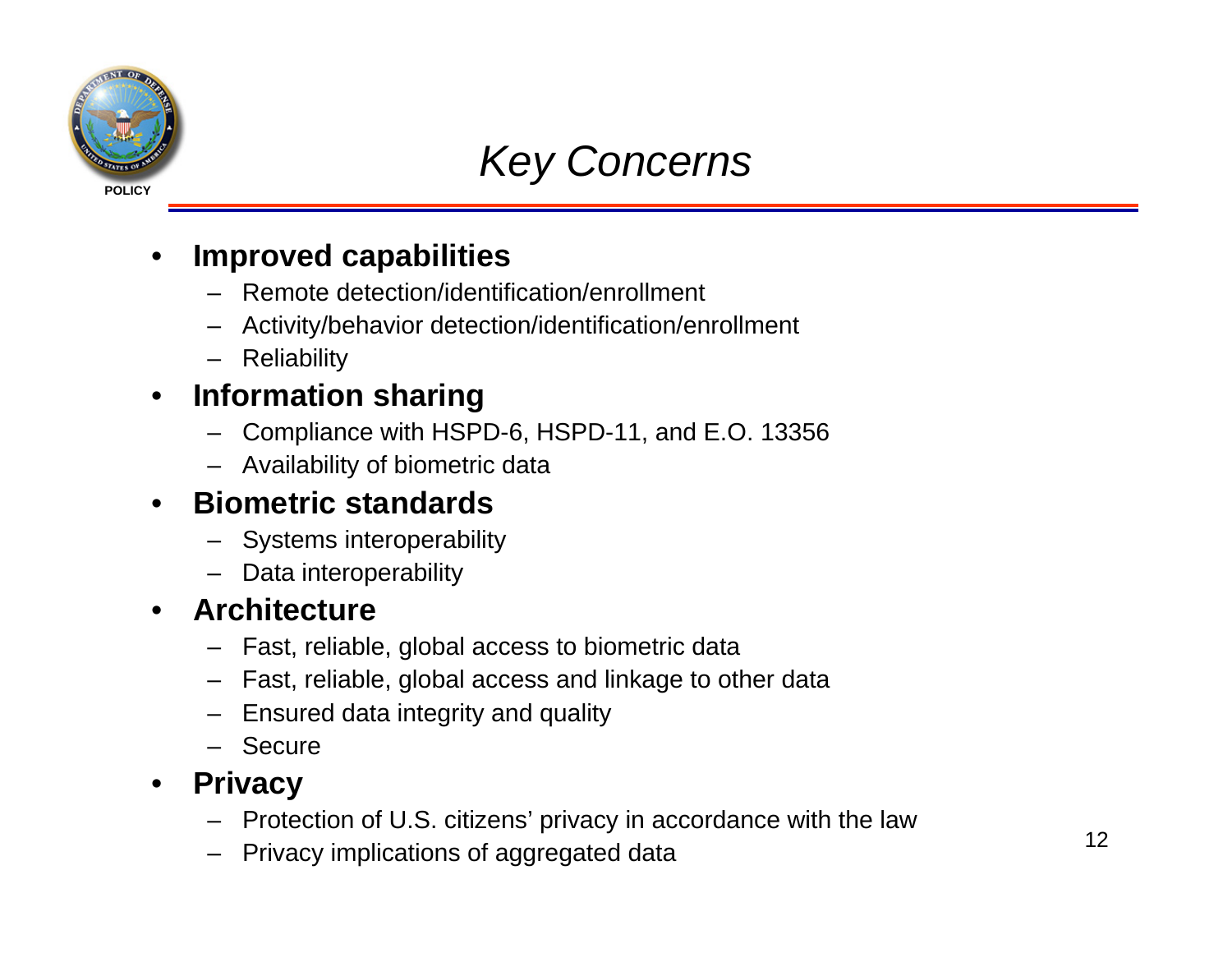

## *Key Concerns*

#### •**Improved capabilities**

- Remote detection/identification/enrollment
- Activity/behavior detection/identification/enrollment
- Reliability

#### $\bullet$ **Information sharing**

- Compliance with HSPD-6, HSPD-11, and E.O. 13356
- Availability of biometric data

## • **Biometric standards**

- Systems interoperability
- Data interoperability

### • **Architecture**

- Fast, reliable, global access to biometric data
- Fast, reliable, global access and linkage to other data
- Ensured data integrity and quality
- Secure

#### $\bullet$ **Privacy**

- Protection of U.S. citizens' privacy in accordance with the law
- Privacy implications of aggregated data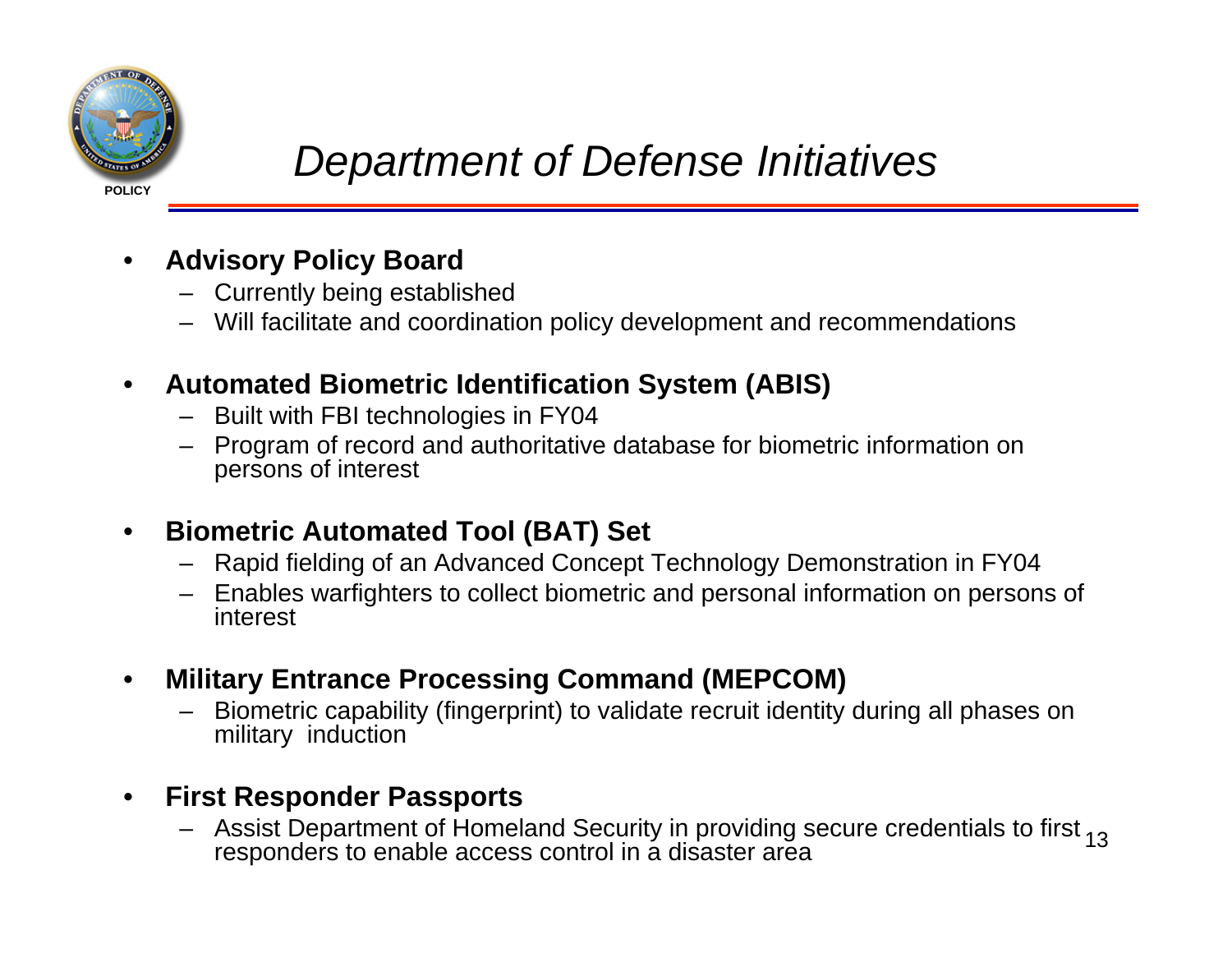

- • **Advisory Policy Board**
	- Currently being established
	- Will facilitate and coordination policy development and recommendations
- $\bullet$  **Automated Biometric Identification System (ABIS)**
	- Built with FBI technologies in FY04
	- Program of record and authoritative database for biometric information on persons of interest
- • **Biometric Automated Tool (BAT) Set**
	- Rapid fielding of an Advanced Concept Technology Demonstration in FY04
	- Enables warfighters to collect biometric and personal information on persons of interest
- • **Military Entrance Processing Command (MEPCOM)**
	- – Biometric capability (fingerprint) to validate recruit identity during all phases on military induction

#### •**First Responder Passports**

Assist Department of Homeland Security in providing secure credentials to first <sub>13</sub> responders to enable access control in a disaster area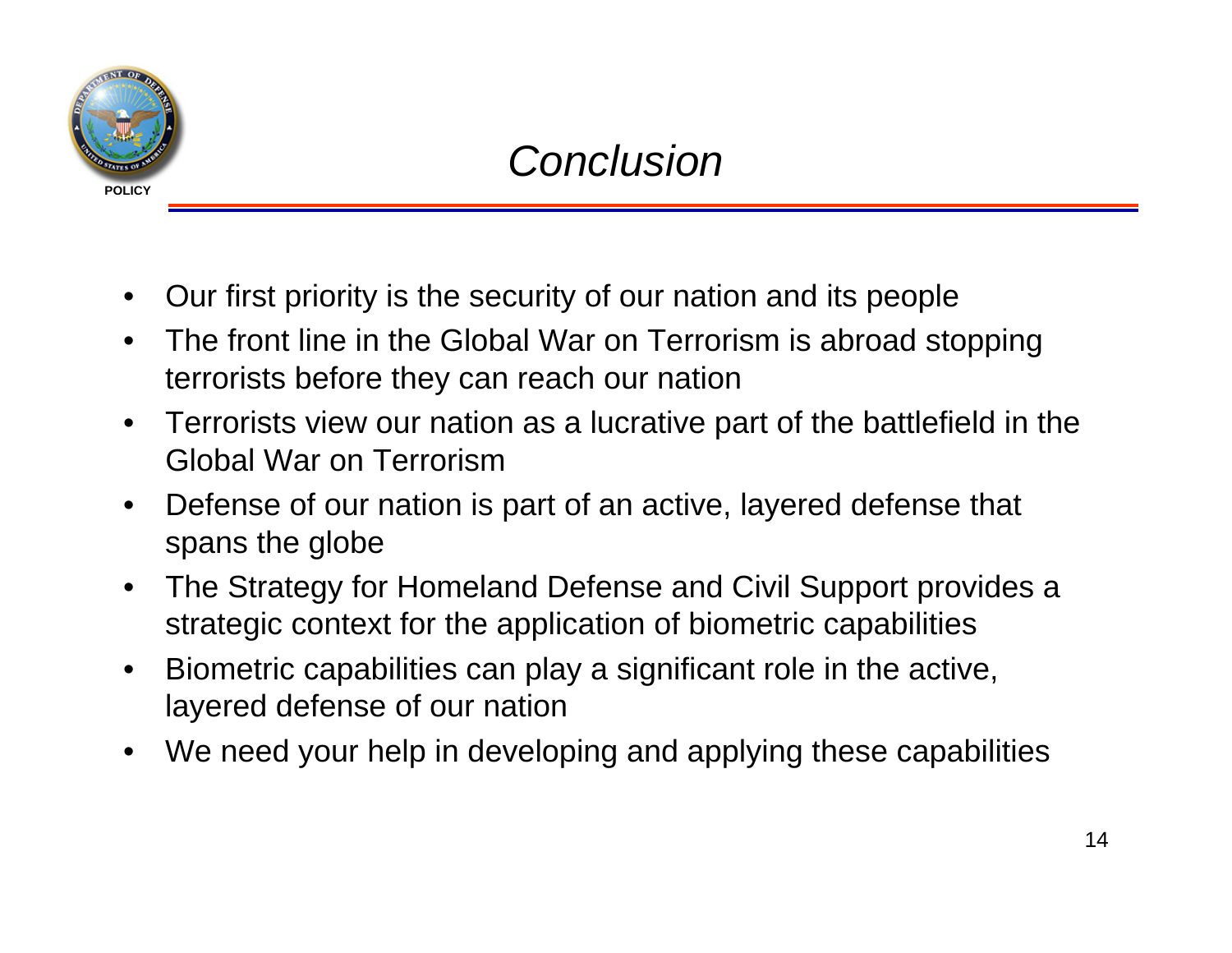

- •Our first priority is the security of our nation and its people
- • The front line in the Global War on Terrorism is abroad stopping terrorists before they can reach our nation
- Terrorists view our nation as a lucrative part of the battlefield in the Global War on Terrorism
- $\bullet$  Defense of our nation is part of an active, layered defense that spans the globe
- • The Strategy for Homeland Defense and Civil Support provides a strategic context for the application of biometric capabilities
- $\bullet$  Biometric capabilities can play a significant role in the active, layered defense of our nation
- •We need your help in developing and applying these capabilities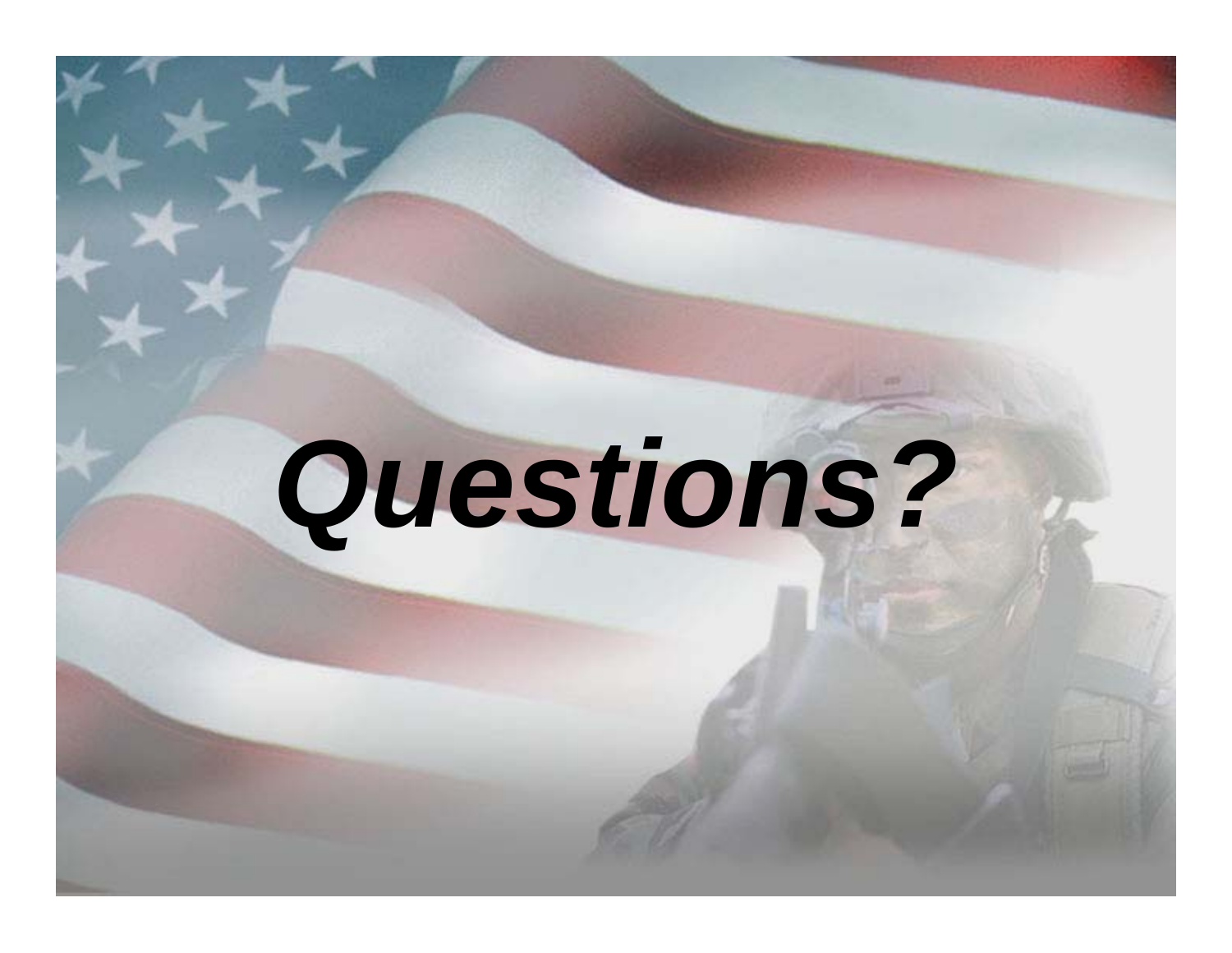# *Questions?*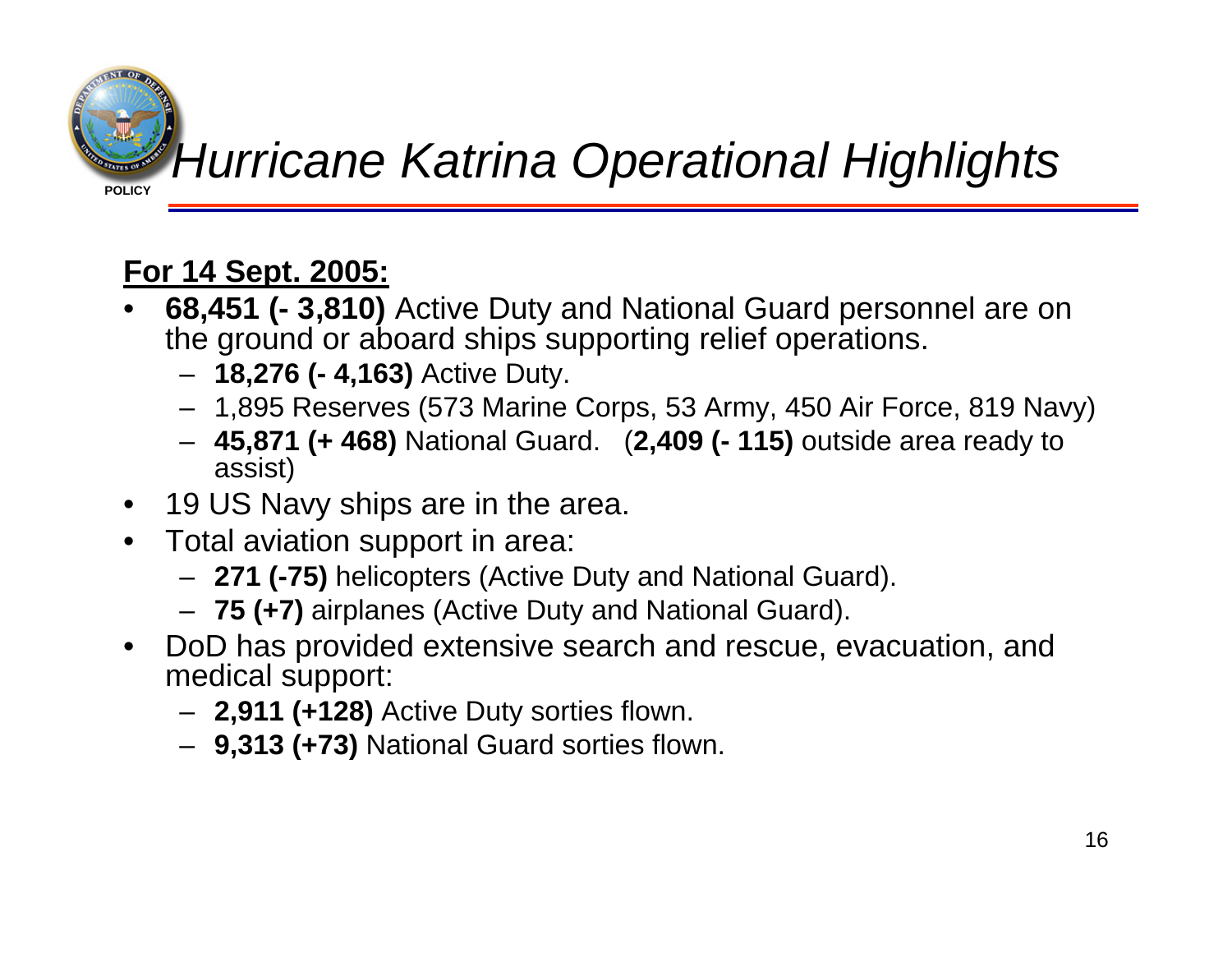

# *Hurricane Katrina Operational Highlights*

## **For 14 Sept. 2005:**

- • **68,451 (- 3,810)** Active Duty and National Guard personnel are on the ground or aboard ships supporting relief operations.
	- **18,276 (- 4,163)** Active Duty.
	- 1,895 Reserves (573 Marine Corps, 53 Army, 450 Air Force, 819 Navy)
	- **45,871 (+ 468)** National Guard. (**2,409 (- 115)** outside area ready to assist)
- •19 US Navy ships are in the area.
- Total aviation support in area:
	- **271 (-75)** helicopters (Active Duty and National Guard).
	- **75 (+7)** airplanes (Active Duty and National Guard).
- $\bullet$  DoD has provided extensive search and rescue, evacuation, and medical support:
	- **2,911 (+128)** Active Duty sorties flown.
	- **9,313 (+73)** National Guard sorties flown.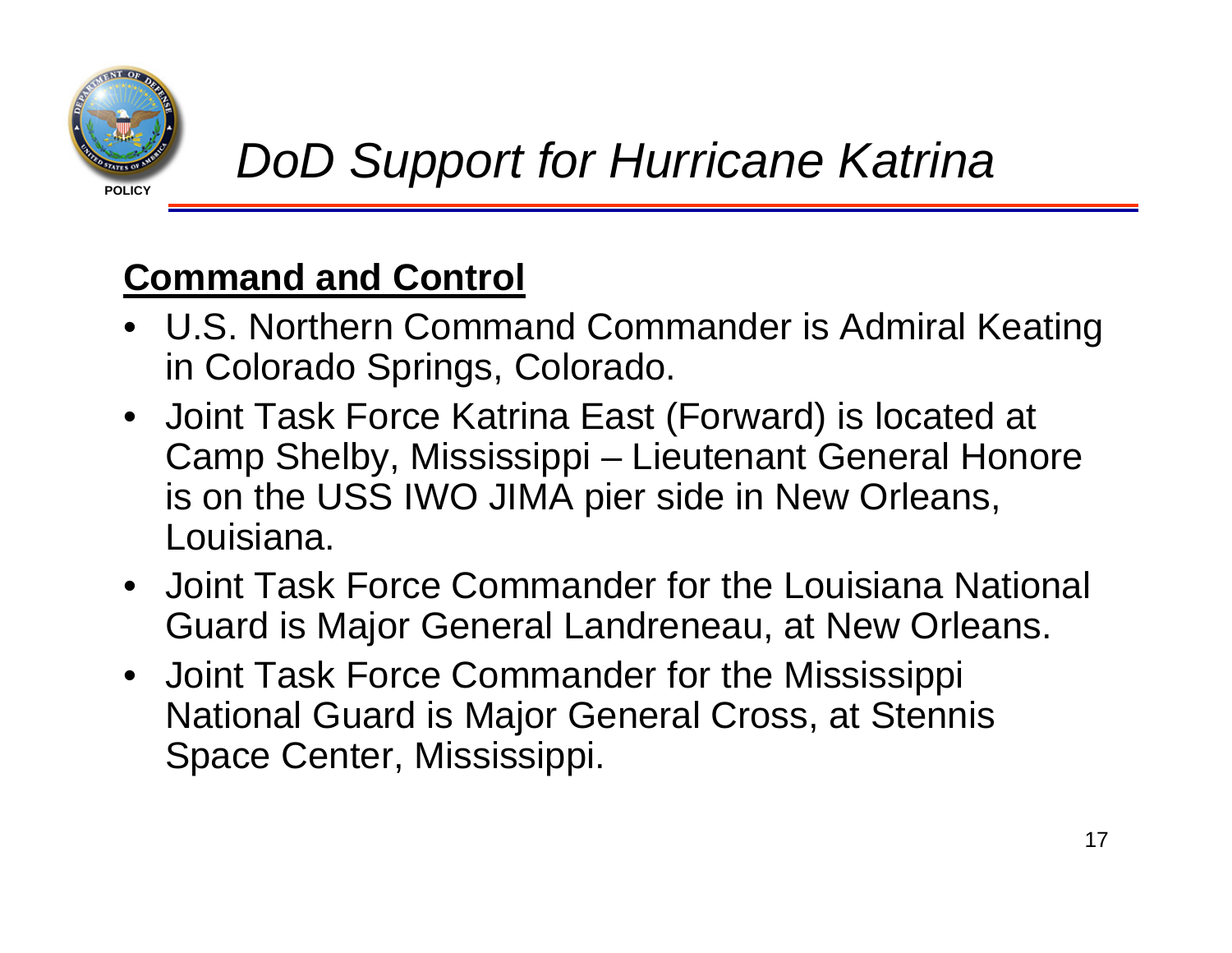

## **Command and Control**

- U.S. Northern Command Commander is Admiral Keating in Colorado Springs, Colorado.
- Joint Task Force Katrina East (Forward) is located at Camp Shelby, Mississippi – Lieutenant General Honore is on the USS IWO JIMA pier side in New Orleans, Louisiana.
- Joint Task Force Commander for the Louisiana National Guard is Major General Landreneau, at New Orleans.
- Joint Task Force Commander for the Mississippi National Guard is Major General Cross, at Stennis Space Center, Mississippi.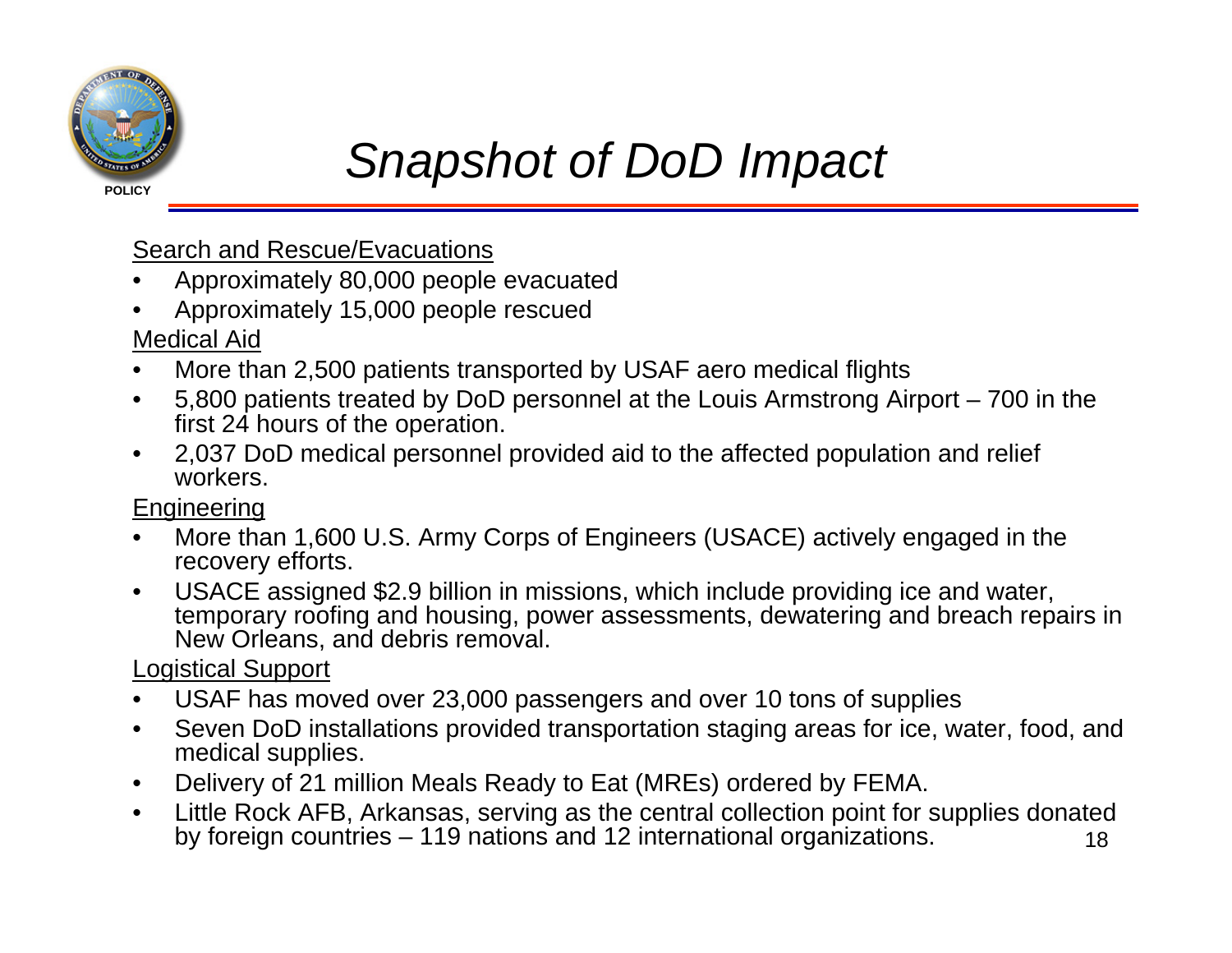

## *Snapshot of DoD Impact*

Search and Rescue/Evacuations

- •Approximately 80,000 people evacuated
- •Approximately 15,000 people rescued

Medical Aid

- •More than 2,500 patients transported by USAF aero medical flights
- • 5,800 patients treated by DoD personnel at the Louis Armstrong Airport – 700 in the first 24 hours of the operation.
- $\bullet$  2,037 DoD medical personnel provided aid to the affected population and relief workers.

**Engineering** 

- • More than 1,600 U.S. Army Corps of Engineers (USACE) actively engaged in the recovery efforts.
- • USACE assigned \$2.9 billion in missions, which include providing ice and water, temporary roofing and housing, power assessments, dewatering and breach repairs in New Orleans, and debris removal.

Logistical Support

- •USAF has moved over 23,000 passengers and over 10 tons of supplies
- • Seven DoD installations provided transportation staging areas for ice, water, food, and medical supplies.
- •Delivery of 21 million Meals Ready to Eat (MREs) ordered by FEMA.
- 18• Little Rock AFB, Arkansas, serving as the central collection point for supplies donated by foreign countries – 119 nations and 12 international organizations.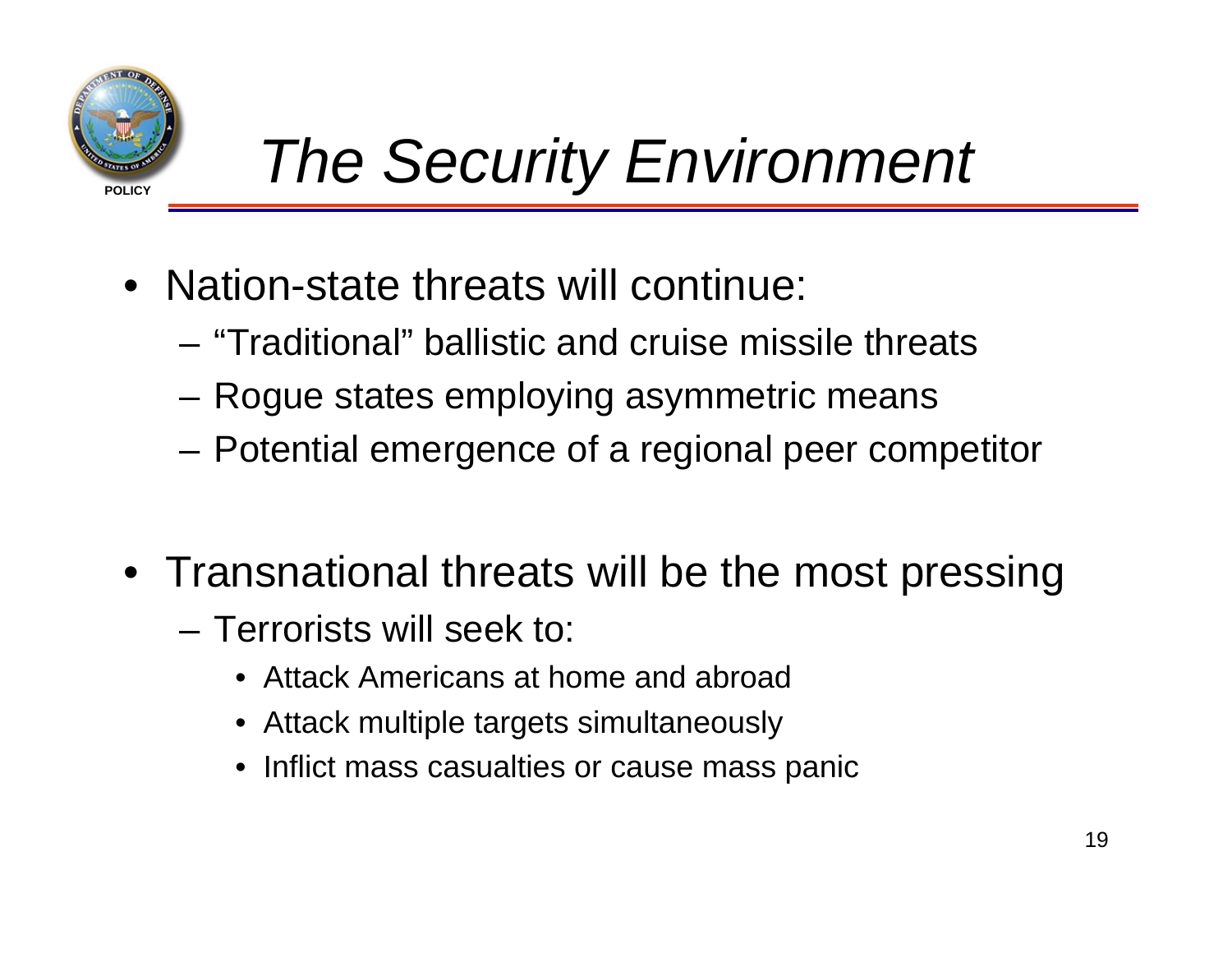

- Nation-state threats will continue:
	- "Traditional" ballistic and cruise missile threats
	- **Links of the Company** Rogue states employing asymmetric means
	- **Links of the Company** Potential emergence of a regional peer competitor
- Transnational threats will be the most pressing
	- Terrorists will seek to:
		- Attack Americans at home and abroad
		- Attack multiple targets simultaneously
		- Inflict mass casualties or cause mass panic